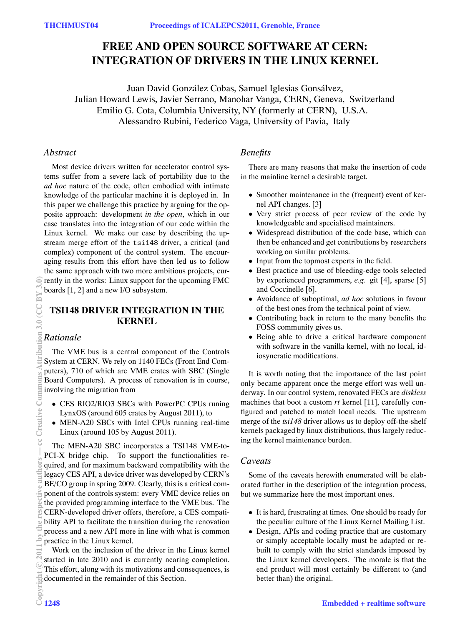# **FREE AND OPEN SOURCE SOFTWARE AT CERN: INTEGRATION OF DRIVERS IN THE LINUX KERNEL**

Juan David González Cobas, Samuel Iglesias Gonsálvez, Julian Howard Lewis, Javier Serrano, Manohar Vanga, CERN, Geneva, Switzerland Emilio G. Cota, Columbia University, NY (formerly at CERN), U.S.A. Alessandro Rubini, Federico Vaga, University of Pavia, Italy

#### *Abstract*

Most device drivers written for accelerator control systems suffer from a severe lack of portability due to the *ad hoc* nature of the code, often embodied with intimate knowledge of the particular machine it is deployed in. In this paper we challenge this practice by arguing for the opposite approach: development *in the open*, which in our case translates into the integration of our code within the Linux kernel. We make our case by describing the upstream merge effort of the tsi148 driver, a critical (and complex) component of the control system. The encouraging results from this effort have then led us to follow the same approach with two more ambitious projects, currently in the works: Linux support for the upcoming FMC boards [1, 2] and a new I/O subsystem.

### **TSI148 DRIVER INTEGRATION IN THE KERNEL**

### *Rationale*

The VME bus is a central component of the Controls System at CERN. We rely on 1140 FECs (Front End Computers), 710 of which are VME crates with SBC (Single Board Computers). A process of renovation is in course, involving the migration from

- *•* CES RIO2/RIO3 SBCs with PowerPC CPUs runing LynxOS (around 605 crates by August 2011), to
- *•* MEN-A20 SBCs with Intel CPUs running real-time Linux (around 105 by August 2011).

The MEN-A20 SBC incorporates a TSI148 VME-to-PCI-X bridge chip. To support the functionalities required, and for maximum backward compatibility with the legacy CES API, a device driver was developed by CERN's BE/CO group in spring 2009. Clearly, this is a critical component of the controls system: every VME device relies on the provided programming interface to the VME bus. The CERN-developed driver offers, therefore, a CES compatibility API to facilitate the transition during the renovation process and a new API more in line with what is common practice in the Linux kernel.

Work on the inclusion of the driver in the Linux kernel started in late 2010 and is currently nearing completion. This effort, along with its motivations and consequences, is documented in the remainder of this Section.

## *Benefits*

There are many reasons that make the insertion of code in the mainline kernel a desirable target.

- *•* Smoother maintenance in the (frequent) event of kernel API changes. [3]
- Very strict process of peer review of the code by knowledgeable and specialised maintainers.
- *•* Widespread distribution of the code base, which can then be enhanced and get contributions by researchers working on similar problems.
- *•* Input from the topmost experts in the field.
- *•* Best practice and use of bleeding-edge tools selected by experienced programmers, *e.g.* git [4], sparse [5] and Coccinelle [6].
- *•* Avoidance of suboptimal, *ad hoc* solutions in favour of the best ones from the technical point of view.
- *•* Contributing back in return to the many benefits the FOSS community gives us.
- *•* Being able to drive a critical hardware component with software in the vanilla kernel, with no local, idiosyncratic modifications.

It is worth noting that the importance of the last point only became apparent once the merge effort was well underway. In our control system, renovated FECs are *diskless* machines that boot a custom *rt* kernel [11], carefully configured and patched to match local needs. The upstream merge of the *tsi148* driver allows us to deploy off-the-shelf kernels packaged by linux distributions, thus largely reducing the kernel maintenance burden.

### *Caveats*

Some of the caveats herewith enumerated will be elaborated further in the description of the integration process, but we summarize here the most important ones.

- *•* It is hard, frustrating at times. One should be ready for the peculiar culture of the Linux Kernel Mailing List.
- *•* Design, APIs and coding practice that are customary or simply acceptable locally must be adapted or rebuilt to comply with the strict standards imposed by the Linux kernel developers. The morale is that the end product will most certainly be different to (and better than) the original.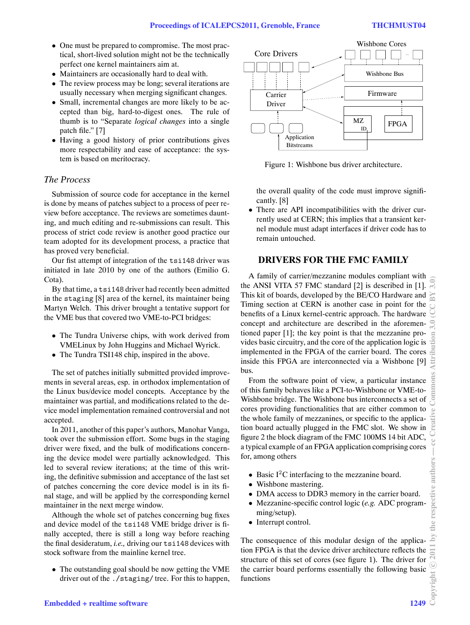- *•* One must be prepared to compromise. The most practical, short-lived solution might not be the technically perfect one kernel maintainers aim at.
- *•* Maintainers are occasionally hard to deal with.
- *•* The review process may be long; several iterations are usually necessary when merging significant changes.
- *•* Small, incremental changes are more likely to be accepted than big, hard-to-digest ones. The rule of thumb is to "Separate *logical changes* into a single patch file." [7]
- Having a good history of prior contributions gives more respectability and ease of acceptance: the system is based on meritocracy.

# *The Process*

Submission of source code for acceptance in the kernel is done by means of patches subject to a process of peer review before acceptance. The reviews are sometimes daunting, and much editing and re-submissions can result. This process of strict code review is another good practice our team adopted for its development process, a practice that has proved very beneficial.

Our fist attempt of integration of the tsi148 driver was initiated in late 2010 by one of the authors (Emilio G. Cota).

By that time, a tsi148 driver had recently been admitted in the staging [8] area of the kernel, its maintainer being Martyn Welch. This driver brought a tentative support for the VME bus that covered two VME-to-PCI bridges:

- *•* The Tundra Universe chips, with work derived from VMELinux by John Huggins and Michael Wyrick.
- *•* The Tundra TSI148 chip, inspired in the above.

The set of patches initially submitted provided improvements in several areas, esp. in orthodox implementation of the Linux bus/device model concepts. Acceptance by the maintainer was partial, and modifications related to the device model implementation remained controversial and not accepted.

In 2011, another of this paper's authors, Manohar Vanga, took over the submission effort. Some bugs in the staging driver were fixed, and the bulk of modifications concerning the device model were partially acknowledged. This led to several review iterations; at the time of this writing, the definitive submission and acceptance of the last set of patches concerning the core device model is in its final stage, and will be applied by the corresponding kernel maintainer in the next merge window.

Although the whole set of patches concerning bug fixes and device model of the tsi148 VME bridge driver is finally accepted, there is still a long way before reaching the final desideratum, *i.e.,* driving our tsi148 devices with stock software from the mainline kernel tree.

*•* The outstanding goal should be now getting the VME driver out of the ./staging/ tree. For this to happen,



Figure 1: Wishbone bus driver architecture.

the overall quality of the code must improve significantly. [8]

*•* There are API incompatibilities with the driver currently used at CERN; this implies that a transient kernel module must adapt interfaces if driver code has to remain untouched.

### **DRIVERS FOR THE FMC FAMILY**

A family of carrier/mezzanine modules compliant with A family of carrier/mezzanine modules compilant with  $\epsilon$  the ANSI VITA 57 FMC standard [2] is described in [1]. This kit of boards, developed by the BE/CO Hardware and Timing section at CERN is another case in point for the benefits of a Linux kernel-centric approach. The hardware concept and architecture are described in the aforementioned paper [1]; the key point is that the mezzanine provides basic circuitry, and the core of the application logic is implemented in the FPGA of the carrier board. The cores inside this FPGA are interconnected via a Wishbone [9] bus.

From the software point of view, a particular instance of this family behaves like a PCI-to-Wishbone or VME-to-Wishbone bridge. The Wishbone bus interconnects a set of cores providing functionalities that are either common to the whole family of mezzanines, or specific to the application board actually plugged in the FMC slot. We show in figure 2 the block diagram of the FMC 100MS 14 bit ADC, a typical example of an FPGA application comprising cores for, among others

- Basic I<sup>2</sup>C interfacing to the mezzanine board.
- *•* Wishbone mastering.
- *•* DMA access to DDR3 memory in the carrier board.
- *•* Mezzanine-specific control logic (*e.g.* ADC programming/setup).
- *•* Interrupt control.

The consequence of this modular design of the application FPGA is that the device driver architecture reflects the structure of this set of cores (see figure 1). The driver for the carrier board performs essentially the following basic functions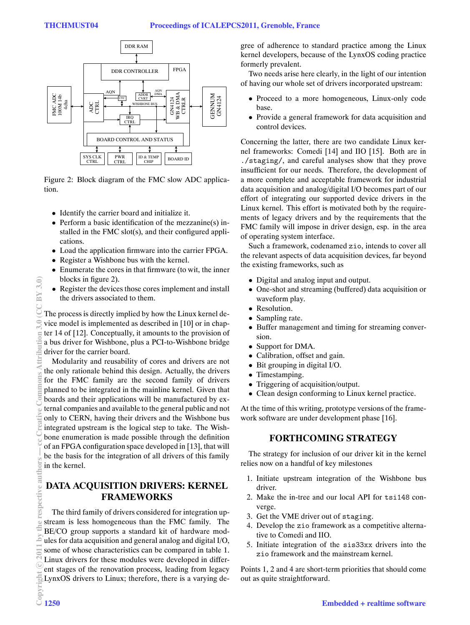

Figure 2: Block diagram of the FMC slow ADC application.

- *•* Identify the carrier board and initialize it.
- Perform a basic identification of the mezzanine(s) installed in the FMC slot(s), and their configured applications.
- *•* Load the application firmware into the carrier FPGA.
- *•* Register a Wishbone bus with the kernel.
- *•* Enumerate the cores in that firmware (to wit, the inner blocks in figure 2).
- *•* Register the devices those cores implement and install the drivers associated to them.

The process is directly implied by how the Linux kernel device model is implemented as described in [10] or in chapter 14 of [12]. Conceptually, it amounts to the provision of a bus driver for Wishbone, plus a PCI-to-Wishbone bridge driver for the carrier board.

Modularity and reusability of cores and drivers are not the only rationale behind this design. Actually, the drivers for the FMC family are the second family of drivers planned to be integrated in the mainline kernel. Given that boards and their applications will be manufactured by external companies and available to the general public and not only to CERN, having their drivers and the Wishbone bus integrated upstream is the logical step to take. The Wishbone enumeration is made possible through the definition of an FPGA configuration space developed in [13], that will be the basis for the integration of all drivers of this family in the kernel.

## **DATA ACQUISITION DRIVERS: KERNEL FRAMEWORKS**

The third family of drivers considered for integration upstream is less homogeneous than the FMC family. The BE/CO group supports a standard kit of hardware modules for data acquisition and general analog and digital I/O, some of whose characteristics can be compared in table 1. Linux drivers for these modules were developed in different stages of the renovation process, leading from legacy LynxOS drivers to Linux; therefore, there is a varying de-<br>Copyright 1250

gree of adherence to standard practice among the Linux kernel developers, because of the LynxOS coding practice formerly prevalent.

Two needs arise here clearly, in the light of our intention of having our whole set of drivers incorporated upstream:

- *•* Proceed to a more homogeneous, Linux-only code base.
- *•* Provide a general framework for data acquisition and control devices.

Concerning the latter, there are two candidate Linux kernel frameworks: Comedi [14] and IIO [15]. Both are in ./staging/, and careful analyses show that they prove insufficient for our needs. Therefore, the development of a more complete and acceptable framework for industrial data acquisition and analog/digital I/O becomes part of our effort of integrating our supported device drivers in the Linux kernel. This effort is motivated both by the requirements of legacy drivers and by the requirements that the FMC family will impose in driver design, esp. in the area of operating system interface.

Such a framework, codenamed zio, intends to cover all the relevant aspects of data acquisition devices, far beyond the existing frameworks, such as

- Digital and analog input and output.<br>• One-shot and streaming (buffered) d
- *•* One-shot and streaming (buffered) data acquisition or waveform play.
- Resolution.<br>• Sampling ra
- Sampling rate.<br>• Buffer manage
- Buffer management and timing for streaming conversion.
- *•* Support for DMA.
- Calibration, offset and gain.<br>• Bit grouping in digital I/O.
- Bit grouping in digital I/O.<br>• Timestamping.
- Timestamping.<br>• Triggering of a
- Triggering of acquisition/output.<br>• Clean design conforming to Linu
- *•* Clean design conforming to Linux kernel practice.

At the time of this writing, prototype versions of the framework software are under development phase [16].

### **FORTHCOMING STRATEGY**

The strategy for inclusion of our driver kit in the kernel relies now on a handful of key milestones

- 1. Initiate upstream integration of the Wishbone bus driver.
- 2. Make the in-tree and our local API for tsi148 converge.
- 3. Get the VME driver out of staging.
- 4. Develop the zio framework as a competitive alternative to Comedi and IIO.
- 5. Initiate integration of the sis33xx drivers into the zio framework and the mainstream kernel.

Points 1, 2 and 4 are short-term priorities that should come out as quite straightforward.